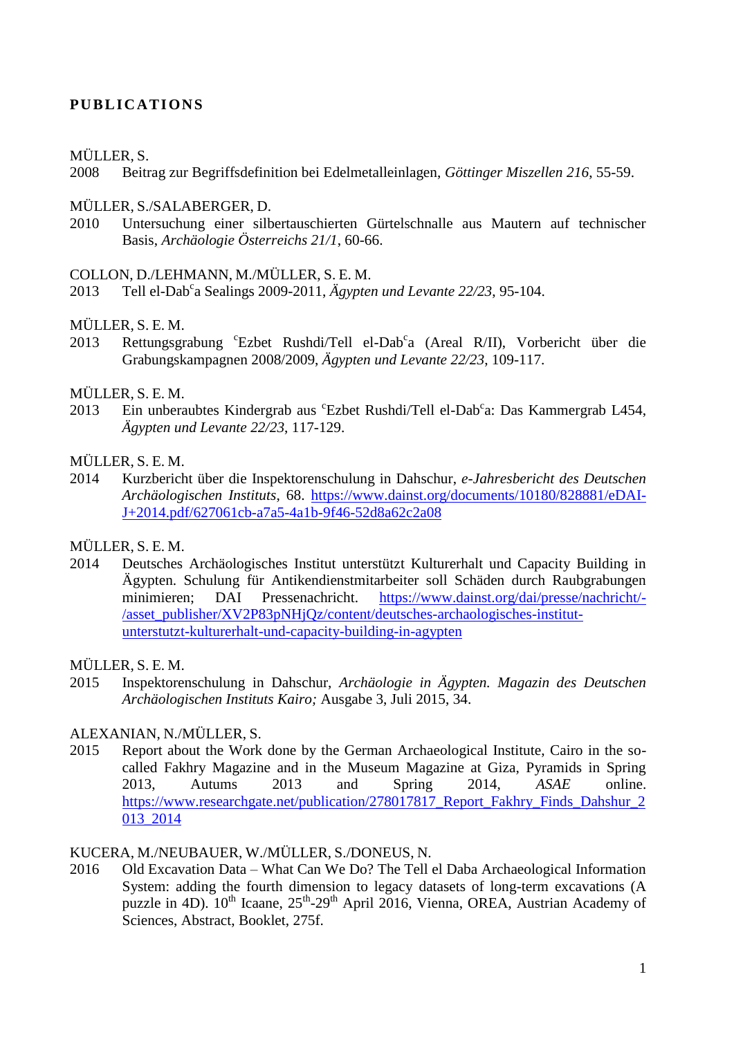# **PU B LI C ATI ONS**

### MÜLLER, S.

2008 Beitrag zur Begriffsdefinition bei Edelmetalleinlagen, *Göttinger Miszellen 216*, 55-59.

### MÜLLER, S./SALABERGER, D.

2010 Untersuchung einer silbertauschierten Gürtelschnalle aus Mautern auf technischer Basis, *Archäologie Österreichs 21/1*, 60-66.

### COLLON, D./LEHMANN, M./MÜLLER, S. E. M.

2013 Tell el-Dab<sup>c</sup>a Sealings 2009-2011, *Ägypten und Levante 22/23*, 95-104.

### MÜLLER, S. E. M.

2013 Rettungsgrabung 'Ezbet Rushdi/Tell el-Dab<sup>c</sup>a (Areal R/II), Vorbericht über die Grabungskampagnen 2008/2009, *Ägypten und Levante 22/23*, 109-117.

### MÜLLER, S. E. M.

2013 Ein unberaubtes Kindergrab aus <sup>c</sup>Ezbet Rushdi/Tell el-Dab<sup>c</sup>a: Das Kammergrab L454, *Ägypten und Levante 22/23*, 117-129.

### MÜLLER, S. E. M.

2014 Kurzbericht über die Inspektorenschulung in Dahschur, *e-Jahresbericht des Deutschen Archäologischen Instituts*, 68. [https://www.dainst.org/documents/10180/828881/eDAI-](https://www.dainst.org/documents/10180/828881/eDAI-J+2014.pdf/627061cb-a7a5-4a1b-9f46-52d8a62c2a08)[J+2014.pdf/627061cb-a7a5-4a1b-9f46-52d8a62c2a08](https://www.dainst.org/documents/10180/828881/eDAI-J+2014.pdf/627061cb-a7a5-4a1b-9f46-52d8a62c2a08)

# MÜLLER, S. E. M.

2014 Deutsches Archäologisches Institut unterstützt Kulturerhalt und Capacity Building in Ägypten. Schulung für Antikendienstmitarbeiter soll Schäden durch Raubgrabungen minimieren; DAI Pressenachricht. [https://www.dainst.org/dai/presse/nachricht/-](https://www.dainst.org/dai/presse/nachricht/-/asset_publisher/XV2P83pNHjQz/content/deutsches-archaologisches-institut-unterstutzt-kulturerhalt-und-capacity-building-in-agypten) [/asset\\_publisher/XV2P83pNHjQz/content/deutsches-archaologisches-institut](https://www.dainst.org/dai/presse/nachricht/-/asset_publisher/XV2P83pNHjQz/content/deutsches-archaologisches-institut-unterstutzt-kulturerhalt-und-capacity-building-in-agypten)[unterstutzt-kulturerhalt-und-capacity-building-in-agypten](https://www.dainst.org/dai/presse/nachricht/-/asset_publisher/XV2P83pNHjQz/content/deutsches-archaologisches-institut-unterstutzt-kulturerhalt-und-capacity-building-in-agypten)

### MÜLLER, S. E. M.

2015 Inspektorenschulung in Dahschur, *Archäologie in Ägypten. Magazin des Deutschen Archäologischen Instituts Kairo;* Ausgabe 3, Juli 2015, 34.

### ALEXANIAN, N./MÜLLER, S.

2015 Report about the Work done by the German Archaeological Institute, Cairo in the socalled Fakhry Magazine and in the Museum Magazine at Giza, Pyramids in Spring 2013, Autums 2013 and Spring 2014, *ASAE* online. [https://www.researchgate.net/publication/278017817\\_Report\\_Fakhry\\_Finds\\_Dahshur\\_2](https://www.researchgate.net/publication/278017817_Report_Fakhry_Finds_Dahshur_2013_2014) [013\\_2014](https://www.researchgate.net/publication/278017817_Report_Fakhry_Finds_Dahshur_2013_2014)

# KUCERA, M./NEUBAUER, W./MÜLLER, S./DONEUS, N.

2016 Old Excavation Data – What Can We Do? The Tell el Daba Archaeological Information System: adding the fourth dimension to legacy datasets of long-term excavations (A puzzle in 4D). 10<sup>th</sup> Icaane, 25<sup>th</sup>-29<sup>th</sup> April 2016, Vienna, OREA, Austrian Academy of Sciences, Abstract, Booklet, 275f.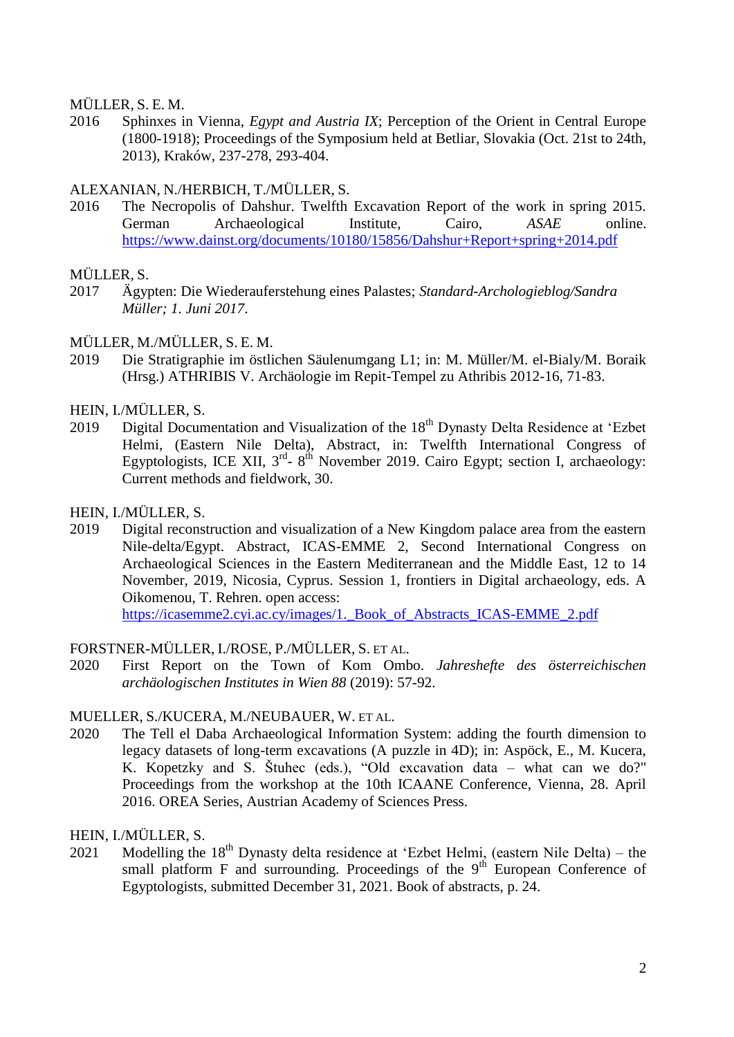MÜLLER, S. E. M.

2016 Sphinxes in Vienna, *Egypt and Austria IX*; Perception of the Orient in Central Europe (1800-1918); Proceedings of the Symposium held at Betliar, Slovakia (Oct. 21st to 24th, 2013), Kraków, 237-278, 293-404.

### ALEXANIAN, N./HERBICH, T./MÜLLER, S.

2016 The Necropolis of Dahshur. Twelfth Excavation Report of the work in spring 2015. German Archaeological Institute, Cairo, *ASAE* online. <https://www.dainst.org/documents/10180/15856/Dahshur+Report+spring+2014.pdf>

### MÜLLER, S.

- 2017 Ägypten: Die Wiederauferstehung eines Palastes; *Standard-Archologieblog/Sandra Müller; 1. Juni 2017*.
- MÜLLER, M./MÜLLER, S. E. M.
- 2019 Die Stratigraphie im östlichen Säulenumgang L1; in: M. Müller/M. el-Bialy/M. Boraik (Hrsg.) ATHRIBIS V. Archäologie im Repit-Tempel zu Athribis 2012-16, 71-83.
- HEIN, I./MÜLLER, S.
- 2019 Digital Documentation and Visualization of the  $18<sup>th</sup>$  Dynasty Delta Residence at 'Ezbet' Helmi, (Eastern Nile Delta), Abstract, in: Twelfth International Congress of Egyptologists, ICE XII,  $3<sup>rd</sup>$ -  $8<sup>th</sup>$  November 2019. Cairo Egypt; section I, archaeology: Current methods and fieldwork, 30.
- HEIN, I./MÜLLER, S.
- 2019 Digital reconstruction and visualization of a New Kingdom palace area from the eastern Nile-delta/Egypt. Abstract, ICAS-EMME 2, Second International Congress on Archaeological Sciences in the Eastern Mediterranean and the Middle East, 12 to 14 November, 2019, Nicosia, Cyprus. Session 1, frontiers in Digital archaeology, eds. A Oikomenou, T. Rehren. open access: https://icasemme2.cyi.ac.cy/images/1. Book of Abstracts ICAS-EMME 2.pdf

### FORSTNER-MÜLLER, I./ROSE, P./MÜLLER, S. ET AL.

2020 First Report on the Town of Kom Ombo. *Jahreshefte des österreichischen archäologischen Institutes in Wien 88* (2019): 57-92.

### MUELLER, S./KUCERA, M./NEUBAUER, W. ET AL.

2020 The Tell el Daba Archaeological Information System: adding the fourth dimension to legacy datasets of long-term excavations (A puzzle in 4D); in: Aspöck, E., M. Kucera, K. Kopetzky and S. Štuhec (eds.), "Old excavation data – what can we do?" Proceedings from the workshop at the 10th ICAANE Conference, Vienna, 28. April 2016. OREA Series, Austrian Academy of Sciences Press.

### HEIN, I./MÜLLER, S.

2021 Modelling the 18<sup>th</sup> Dynasty delta residence at 'Ezbet Helmi, (eastern Nile Delta) – the small platform  $F$  and surrounding. Proceedings of the  $9<sup>th</sup>$  European Conference of Egyptologists, submitted December 31, 2021. Book of abstracts, p. 24.